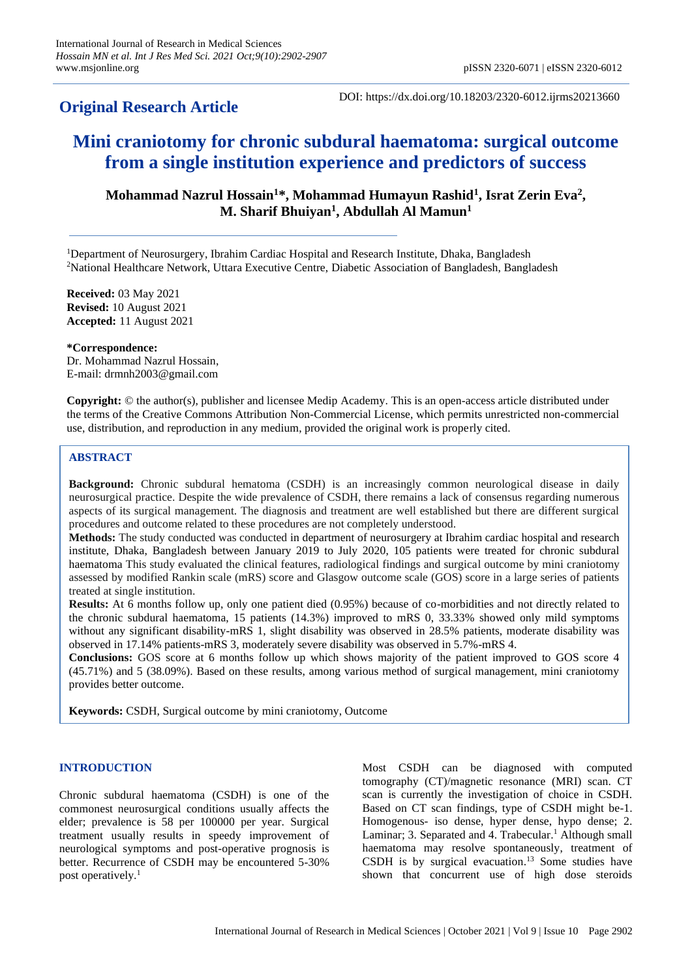# **Original Research Article**

DOI: https://dx.doi.org/10.18203/2320-6012.ijrms20213660

# **Mini craniotomy for chronic subdural haematoma: surgical outcome from a single institution experience and predictors of success**

**Mohammad Nazrul Hossain<sup>1</sup>\*, Mohammad Humayun Rashid<sup>1</sup> , Israt Zerin Eva<sup>2</sup> , M. Sharif Bhuiyan<sup>1</sup> , Abdullah Al Mamun<sup>1</sup>**

<sup>1</sup>Department of Neurosurgery, Ibrahim Cardiac Hospital and Research Institute, Dhaka, Bangladesh <sup>2</sup>National Healthcare Network, Uttara Executive Centre, Diabetic Association of Bangladesh, Bangladesh

**Received:** 03 May 2021 **Revised:** 10 August 2021 **Accepted:** 11 August 2021

**\*Correspondence:** Dr. Mohammad Nazrul Hossain, E-mail: drmnh2003@gmail.com

**Copyright:** © the author(s), publisher and licensee Medip Academy. This is an open-access article distributed under the terms of the Creative Commons Attribution Non-Commercial License, which permits unrestricted non-commercial use, distribution, and reproduction in any medium, provided the original work is properly cited.

# **ABSTRACT**

**Background:** Chronic subdural hematoma (CSDH) is an increasingly common neurological disease in daily neurosurgical practice. Despite the wide prevalence of CSDH, there remains a lack of consensus regarding numerous aspects of its surgical management. The diagnosis and treatment are well established but there are different surgical procedures and outcome related to these procedures are not completely understood.

**Methods:** The study conducted was conducted in department of neurosurgery at Ibrahim cardiac hospital and research institute, Dhaka, Bangladesh between January 2019 to July 2020, 105 patients were treated for chronic subdural haematoma This study evaluated the clinical features, radiological findings and surgical outcome by mini craniotomy assessed by modified Rankin scale (mRS) score and Glasgow outcome scale (GOS) score in a large series of patients treated at single institution.

**Results:** At 6 months follow up, only one patient died (0.95%) because of co-morbidities and not directly related to the chronic subdural haematoma, 15 patients (14.3%) improved to mRS 0, 33.33% showed only mild symptoms without any significant disability-mRS 1, slight disability was observed in 28.5% patients, moderate disability was observed in 17.14% patients-mRS 3, moderately severe disability was observed in 5.7%-mRS 4.

**Conclusions:** GOS score at 6 months follow up which shows majority of the patient improved to GOS score 4 (45.71%) and 5 (38.09%). Based on these results, among various method of surgical management, mini craniotomy provides better outcome.

**Keywords:** CSDH, Surgical outcome by mini craniotomy, Outcome

# **INTRODUCTION**

Chronic subdural haematoma (CSDH) is one of the commonest neurosurgical conditions usually affects the elder; prevalence is 58 per 100000 per year. Surgical treatment usually results in speedy improvement of neurological symptoms and post-operative prognosis is better. Recurrence of CSDH may be encountered 5-30% post operatively.<sup>1</sup>

Most CSDH can be diagnosed with computed tomography (CT)/magnetic resonance (MRI) scan. CT scan is currently the investigation of choice in CSDH. Based on CT scan findings, type of CSDH might be-1. Homogenous- iso dense, hyper dense, hypo dense; 2. Laminar; 3. Separated and 4. Trabecular. <sup>1</sup> Although small haematoma may resolve spontaneously, treatment of CSDH is by surgical evacuation. <sup>13</sup> Some studies have shown that concurrent use of high dose steroids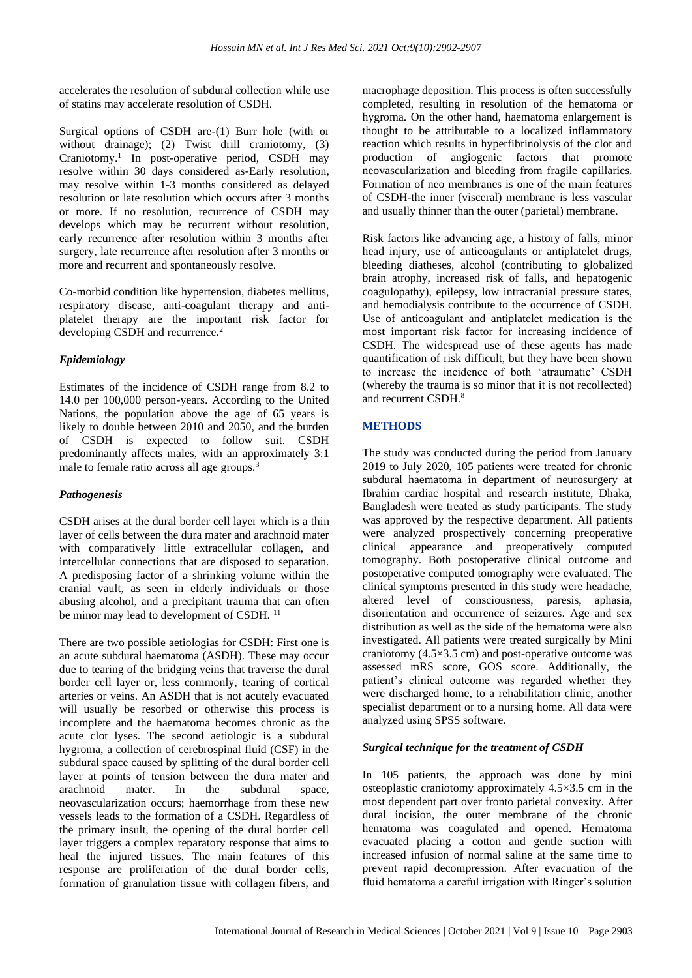accelerates the resolution of subdural collection while use of statins may accelerate resolution of CSDH.

Surgical options of CSDH are-(1) Burr hole (with or without drainage); (2) Twist drill craniotomy, (3) Craniotomy. 1 In post-operative period, CSDH may resolve within 30 days considered as-Early resolution, may resolve within 1-3 months considered as delayed resolution or late resolution which occurs after 3 months or more. If no resolution, recurrence of CSDH may develops which may be recurrent without resolution, early recurrence after resolution within 3 months after surgery, late recurrence after resolution after 3 months or more and recurrent and spontaneously resolve.

Co-morbid condition like hypertension, diabetes mellitus, respiratory disease, anti-coagulant therapy and antiplatelet therapy are the important risk factor for developing CSDH and recurrence.<sup>2</sup>

# *Epidemiology*

Estimates of the incidence of CSDH range from 8.2 to 14.0 per 100,000 person-years. According to the United Nations, the population above the age of 65 years is likely to double between 2010 and 2050, and the burden of CSDH is expected to follow suit. CSDH predominantly affects males, with an approximately 3:1 male to female ratio across all age groups.<sup>3</sup>

# *Pathogenesis*

CSDH arises at the dural border cell layer which is a thin layer of cells between the dura mater and arachnoid mater with comparatively little extracellular collagen, and intercellular connections that are disposed to separation. A predisposing factor of a shrinking volume within the cranial vault, as seen in elderly individuals or those abusing alcohol, and a precipitant trauma that can often be minor may lead to development of CSDH.<sup>11</sup>

There are two possible aetiologias for CSDH: First one is an acute subdural haematoma (ASDH). These may occur due to tearing of the bridging veins that traverse the dural border cell layer or, less commonly, tearing of cortical arteries or veins. An ASDH that is not acutely evacuated will usually be resorbed or otherwise this process is incomplete and the haematoma becomes chronic as the acute clot lyses. The second aetiologic is a subdural hygroma, a collection of cerebrospinal fluid (CSF) in the subdural space caused by splitting of the dural border cell layer at points of tension between the dura mater and arachnoid mater. In the subdural space, neovascularization occurs; haemorrhage from these new vessels leads to the formation of a CSDH. Regardless of the primary insult, the opening of the dural border cell layer triggers a complex reparatory response that aims to heal the injured tissues. The main features of this response are proliferation of the dural border cells, formation of granulation tissue with collagen fibers, and macrophage deposition. This process is often successfully completed, resulting in resolution of the hematoma or hygroma. On the other hand, haematoma enlargement is thought to be attributable to a localized inflammatory reaction which results in hyperfibrinolysis of the clot and production of angiogenic factors that promote neovascularization and bleeding from fragile capillaries. Formation of neo membranes is one of the main features of CSDH-the inner (visceral) membrane is less vascular and usually thinner than the outer (parietal) membrane.

Risk factors like advancing age, a history of falls, minor head injury, use of anticoagulants or antiplatelet drugs, bleeding diatheses, alcohol (contributing to globalized brain atrophy, increased risk of falls, and hepatogenic coagulopathy), epilepsy, low intracranial pressure states, and hemodialysis contribute to the occurrence of CSDH. Use of anticoagulant and antiplatelet medication is the most important risk factor for increasing incidence of CSDH. The widespread use of these agents has made quantification of risk difficult, but they have been shown to increase the incidence of both 'atraumatic' CSDH (whereby the trauma is so minor that it is not recollected) and recurrent CSDH.<sup>8</sup>

# **METHODS**

The study was conducted during the period from January 2019 to July 2020, 105 patients were treated for chronic subdural haematoma in department of neurosurgery at Ibrahim cardiac hospital and research institute, Dhaka, Bangladesh were treated as study participants. The study was approved by the respective department. All patients were analyzed prospectively concerning preoperative clinical appearance and preoperatively computed tomography. Both postoperative clinical outcome and postoperative computed tomography were evaluated. The clinical symptoms presented in this study were headache, altered level of consciousness, paresis, aphasia, disorientation and occurrence of seizures. Age and sex distribution as well as the side of the hematoma were also investigated. All patients were treated surgically by Mini craniotomy  $(4.5\times3.5 \text{ cm})$  and post-operative outcome was assessed mRS score, GOS score. Additionally, the patient's clinical outcome was regarded whether they were discharged home, to a rehabilitation clinic, another specialist department or to a nursing home. All data were analyzed using SPSS software.

# *Surgical technique for the treatment of CSDH*

In 105 patients, the approach was done by mini osteoplastic craniotomy approximately 4.5×3.5 cm in the most dependent part over fronto parietal convexity. After dural incision, the outer membrane of the chronic hematoma was coagulated and opened. Hematoma evacuated placing a cotton and gentle suction with increased infusion of normal saline at the same time to prevent rapid decompression. After evacuation of the fluid hematoma a careful irrigation with Ringer's solution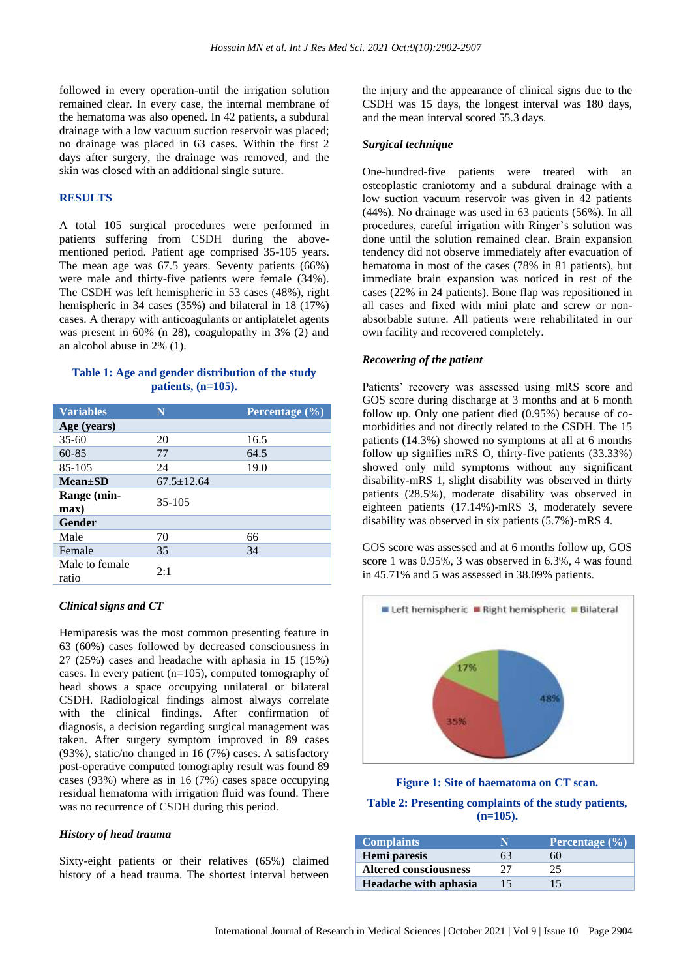followed in every operation-until the irrigation solution remained clear. In every case, the internal membrane of the hematoma was also opened. In 42 patients, a subdural drainage with a low vacuum suction reservoir was placed; no drainage was placed in 63 cases. Within the first 2 days after surgery, the drainage was removed, and the skin was closed with an additional single suture.

#### **RESULTS**

A total 105 surgical procedures were performed in patients suffering from CSDH during the abovementioned period. Patient age comprised 35-105 years. The mean age was 67.5 years. Seventy patients (66%) were male and thirty-five patients were female (34%). The CSDH was left hemispheric in 53 cases (48%), right hemispheric in 34 cases (35%) and bilateral in 18 (17%) cases. A therapy with anticoagulants or antiplatelet agents was present in 60% (n 28), coagulopathy in 3% (2) and an alcohol abuse in 2% (1).

# **Table 1: Age and gender distribution of the study patients, (n=105).**

| <b>Variables</b>        | N                | Percentage $(\%)$ |
|-------------------------|------------------|-------------------|
| Age (years)             |                  |                   |
| $35-60$                 | 20               | 16.5              |
| $60 - 85$               | 77               | 64.5              |
| 85-105                  | 24               | 19.0              |
| $Mean \pm SD$           | $67.5 \pm 12.64$ |                   |
| Range (min-             | $35-105$         |                   |
| max)                    |                  |                   |
| Gender                  |                  |                   |
| Male                    | 70               | 66                |
| Female                  | 35               | 34                |
| Male to female<br>ratio | 2:1              |                   |

#### *Clinical signs and CT*

Hemiparesis was the most common presenting feature in 63 (60%) cases followed by decreased consciousness in 27 (25%) cases and headache with aphasia in 15 (15%) cases. In every patient (n=105), computed tomography of head shows a space occupying unilateral or bilateral CSDH. Radiological findings almost always correlate with the clinical findings. After confirmation of diagnosis, a decision regarding surgical management was taken. After surgery symptom improved in 89 cases (93%), static/no changed in 16 (7%) cases. A satisfactory post-operative computed tomography result was found 89 cases (93%) where as in 16 (7%) cases space occupying residual hematoma with irrigation fluid was found. There was no recurrence of CSDH during this period.

#### *History of head trauma*

Sixty-eight patients or their relatives (65%) claimed history of a head trauma. The shortest interval between the injury and the appearance of clinical signs due to the CSDH was 15 days, the longest interval was 180 days, and the mean interval scored 55.3 days.

#### *Surgical technique*

One-hundred-five patients were treated with an osteoplastic craniotomy and a subdural drainage with a low suction vacuum reservoir was given in 42 patients (44%). No drainage was used in 63 patients (56%). In all procedures, careful irrigation with Ringer's solution was done until the solution remained clear. Brain expansion tendency did not observe immediately after evacuation of hematoma in most of the cases (78% in 81 patients), but immediate brain expansion was noticed in rest of the cases (22% in 24 patients). Bone flap was repositioned in all cases and fixed with mini plate and screw or nonabsorbable suture. All patients were rehabilitated in our own facility and recovered completely.

#### *Recovering of the patient*

Patients' recovery was assessed using mRS score and GOS score during discharge at 3 months and at 6 month follow up. Only one patient died (0.95%) because of comorbidities and not directly related to the CSDH. The 15 patients (14.3%) showed no symptoms at all at 6 months follow up signifies mRS O, thirty-five patients (33.33%) showed only mild symptoms without any significant disability-mRS 1, slight disability was observed in thirty patients (28.5%), moderate disability was observed in eighteen patients (17.14%)-mRS 3, moderately severe disability was observed in six patients (5.7%)-mRS 4.

GOS score was assessed and at 6 months follow up, GOS score 1 was 0.95%, 3 was observed in 6.3%, 4 was found in 45.71% and 5 was assessed in 38.09% patients.



**Figure 1: Site of haematoma on CT scan. Table 2: Presenting complaints of the study patients, (n=105).**

| <b>Complaints</b>            | N  | Percentage $(\% )$ |
|------------------------------|----|--------------------|
| Hemi paresis                 | 63 | 60                 |
| <b>Altered consciousness</b> | フフ | 25                 |
| Headache with aphasia        | 15 | 15                 |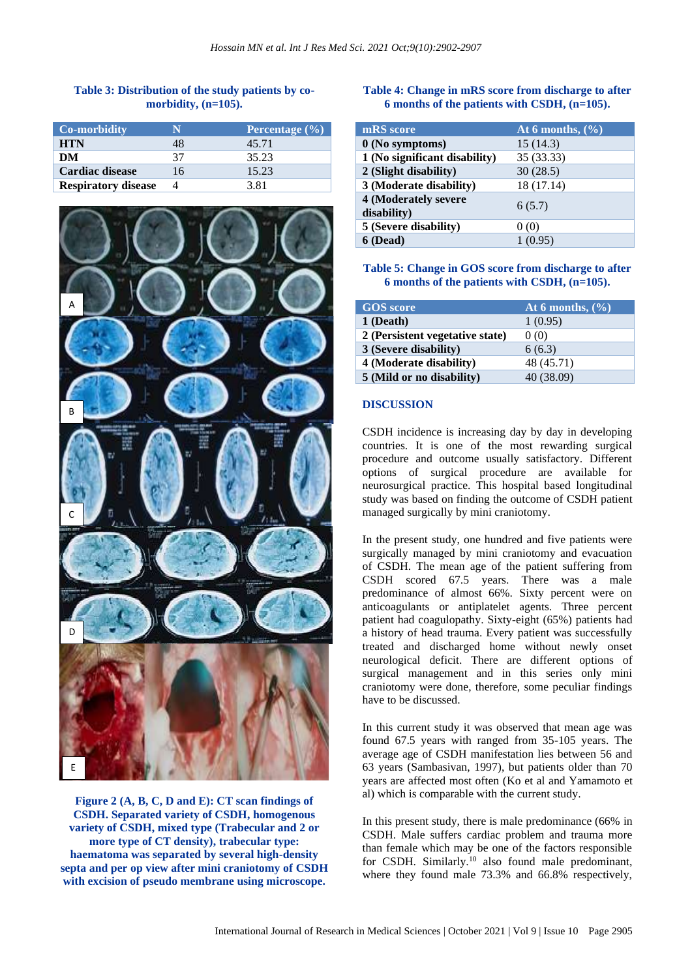#### **Table 3: Distribution of the study patients by comorbidity, (n=105).**

| <b>Co-morbidity</b>        |    | Percentage (%) |
|----------------------------|----|----------------|
| <b>HTN</b>                 | 48 | 45.71          |
| DM                         | 37 | 35.23          |
| <b>Cardiac disease</b>     | 16 | 15.23          |
| <b>Respiratory disease</b> |    | 3.81           |



**Figure 2 (A, B, C, D and E): CT scan findings of CSDH. Separated variety of CSDH, homogenous variety of CSDH, mixed type (Trabecular and 2 or more type of CT density), trabecular type: haematoma was separated by several high-density septa and per op view after mini craniotomy of CSDH with excision of pseudo membrane using microscope.**

# **Table 4: Change in mRS score from discharge to after 6 months of the patients with CSDH, (n=105).**

| mRS score                           | At 6 months, $(\%$ |
|-------------------------------------|--------------------|
| 0 (No symptoms)                     | 15(14.3)           |
| 1 (No significant disability)       | 35 (33.33)         |
| 2 (Slight disability)               | 30(28.5)           |
| 3 (Moderate disability)             | 18 (17.14)         |
| 4 (Moderately severe<br>disability) | 6(5.7)             |
| 5 (Severe disability)               | 0(0)               |
| 6 (Dead)                            | 1(0.95)            |

#### **Table 5: Change in GOS score from discharge to after 6 months of the patients with CSDH, (n=105).**

| <b>GOS</b> score                | At 6 months, $(\%$ |
|---------------------------------|--------------------|
| 1 (Death)                       | 1(0.95)            |
| 2 (Persistent vegetative state) | 0(0)               |
| 3 (Severe disability)           | 6(6.3)             |
| 4 (Moderate disability)         | 48 (45.71)         |
| 5 (Mild or no disability)       | 40 (38.09)         |

#### **DISCUSSION**

CSDH incidence is increasing day by day in developing countries. It is one of the most rewarding surgical procedure and outcome usually satisfactory. Different options of surgical procedure are available for neurosurgical practice. This hospital based longitudinal study was based on finding the outcome of CSDH patient managed surgically by mini craniotomy.

In the present study, one hundred and five patients were surgically managed by mini craniotomy and evacuation of CSDH. The mean age of the patient suffering from CSDH scored 67.5 years. There was a male predominance of almost 66%. Sixty percent were on anticoagulants or antiplatelet agents. Three percent patient had coagulopathy. Sixty-eight (65%) patients had a history of head trauma. Every patient was successfully treated and discharged home without newly onset neurological deficit. There are different options of surgical management and in this series only mini craniotomy were done, therefore, some peculiar findings have to be discussed.

In this current study it was observed that mean age was found 67.5 years with ranged from 35-105 years. The average age of CSDH manifestation lies between 56 and 63 years (Sambasivan, 1997), but patients older than 70 years are affected most often (Ko et al and Yamamoto et al) which is comparable with the current study.

In this present study, there is male predominance (66% in CSDH. Male suffers cardiac problem and trauma more than female which may be one of the factors responsible for CSDH. Similarly.<sup>10</sup> also found male predominant, where they found male 73.3% and 66.8% respectively,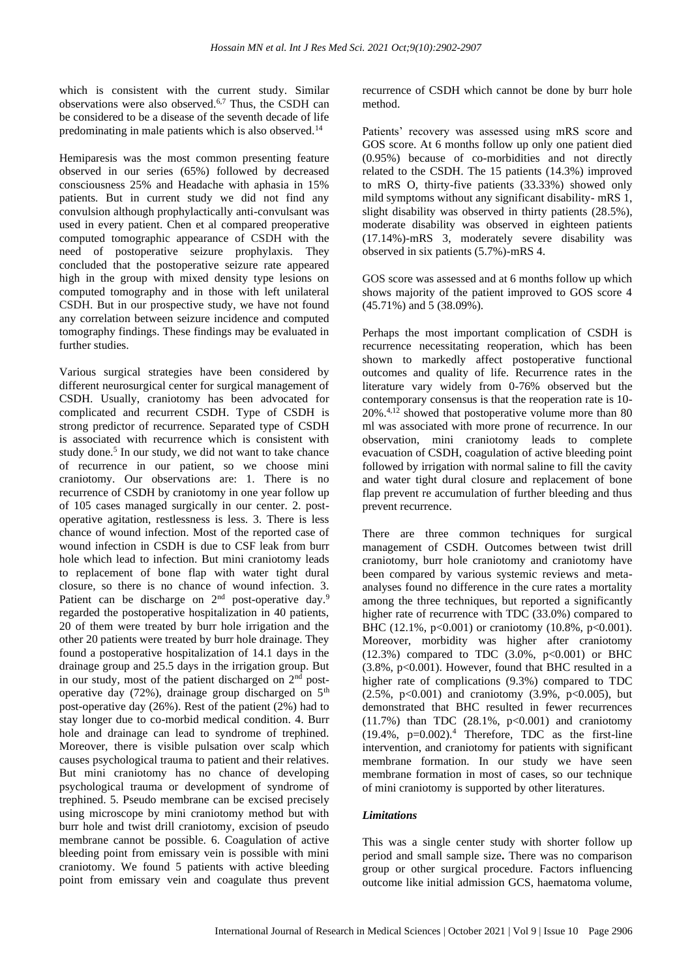which is consistent with the current study. Similar observations were also observed.6,7 Thus, the CSDH can be considered to be a disease of the seventh decade of life predominating in male patients which is also observed.<sup>14</sup>

Hemiparesis was the most common presenting feature observed in our series (65%) followed by decreased consciousness 25% and Headache with aphasia in 15% patients. But in current study we did not find any convulsion although prophylactically anti-convulsant was used in every patient. Chen et al compared preoperative computed tomographic appearance of CSDH with the need of postoperative seizure prophylaxis. They concluded that the postoperative seizure rate appeared high in the group with mixed density type lesions on computed tomography and in those with left unilateral CSDH. But in our prospective study, we have not found any correlation between seizure incidence and computed tomography findings. These findings may be evaluated in further studies.

Various surgical strategies have been considered by different neurosurgical center for surgical management of CSDH. Usually, craniotomy has been advocated for complicated and recurrent CSDH. Type of CSDH is strong predictor of recurrence. Separated type of CSDH is associated with recurrence which is consistent with study done.<sup>5</sup> In our study, we did not want to take chance of recurrence in our patient, so we choose mini craniotomy. Our observations are: 1. There is no recurrence of CSDH by craniotomy in one year follow up of 105 cases managed surgically in our center. 2. postoperative agitation, restlessness is less. 3. There is less chance of wound infection. Most of the reported case of wound infection in CSDH is due to CSF leak from burr hole which lead to infection. But mini craniotomy leads to replacement of bone flap with water tight dural closure, so there is no chance of wound infection. 3. Patient can be discharge on 2<sup>nd</sup> post-operative day.<sup>9</sup> regarded the postoperative hospitalization in 40 patients, 20 of them were treated by burr hole irrigation and the other 20 patients were treated by burr hole drainage. They found a postoperative hospitalization of 14.1 days in the drainage group and 25.5 days in the irrigation group. But in our study, most of the patient discharged on 2nd postoperative day  $(72%)$ , drainage group discharged on  $5<sup>th</sup>$ post-operative day (26%). Rest of the patient (2%) had to stay longer due to co-morbid medical condition. 4. Burr hole and drainage can lead to syndrome of trephined. Moreover, there is visible pulsation over scalp which causes psychological trauma to patient and their relatives. But mini craniotomy has no chance of developing psychological trauma or development of syndrome of trephined. 5. Pseudo membrane can be excised precisely using microscope by mini craniotomy method but with burr hole and twist drill craniotomy, excision of pseudo membrane cannot be possible. 6. Coagulation of active bleeding point from emissary vein is possible with mini craniotomy. We found 5 patients with active bleeding point from emissary vein and coagulate thus prevent recurrence of CSDH which cannot be done by burr hole method.

Patients' recovery was assessed using mRS score and GOS score. At 6 months follow up only one patient died (0.95%) because of co-morbidities and not directly related to the CSDH. The 15 patients (14.3%) improved to mRS O, thirty-five patients (33.33%) showed only mild symptoms without any significant disability- mRS 1, slight disability was observed in thirty patients (28.5%), moderate disability was observed in eighteen patients (17.14%)-mRS 3, moderately severe disability was observed in six patients (5.7%)-mRS 4.

GOS score was assessed and at 6 months follow up which shows majority of the patient improved to GOS score 4 (45.71%) and 5 (38.09%).

Perhaps the most important complication of CSDH is recurrence necessitating reoperation, which has been shown to markedly affect postoperative functional outcomes and quality of life. Recurrence rates in the literature vary widely from 0-76% observed but the contemporary consensus is that the reoperation rate is 10- 20%.4,12 showed that postoperative volume more than 80 ml was associated with more prone of recurrence. In our observation, mini craniotomy leads to complete evacuation of CSDH, coagulation of active bleeding point followed by irrigation with normal saline to fill the cavity and water tight dural closure and replacement of bone flap prevent re accumulation of further bleeding and thus prevent recurrence.

There are three common techniques for surgical management of CSDH. Outcomes between twist drill craniotomy, burr hole craniotomy and craniotomy have been compared by various systemic reviews and metaanalyses found no difference in the cure rates a mortality among the three techniques, but reported a significantly higher rate of recurrence with TDC (33.0%) compared to BHC (12.1%,  $p<0.001$ ) or craniotomy (10.8%,  $p<0.001$ ). Moreover, morbidity was higher after craniotomy  $(12.3%)$  compared to TDC  $(3.0%, p<0.001)$  or BHC  $(3.8\%, p<0.001)$ . However, found that BHC resulted in a higher rate of complications (9.3%) compared to TDC  $(2.5\%, p<0.001)$  and craniotomy  $(3.9\%, p<0.005)$ , but demonstrated that BHC resulted in fewer recurrences  $(11.7%)$  than TDC  $(28.1% , p<0.001)$  and craniotomy  $(19.4\%, p=0.002).$ <sup>4</sup> Therefore, TDC as the first-line intervention, and craniotomy for patients with significant membrane formation. In our study we have seen membrane formation in most of cases, so our technique of mini craniotomy is supported by other literatures.

#### *Limitations*

This was a single center study with shorter follow up period and small sample size**.** There was no comparison group or other surgical procedure. Factors influencing outcome like initial admission GCS, haematoma volume,